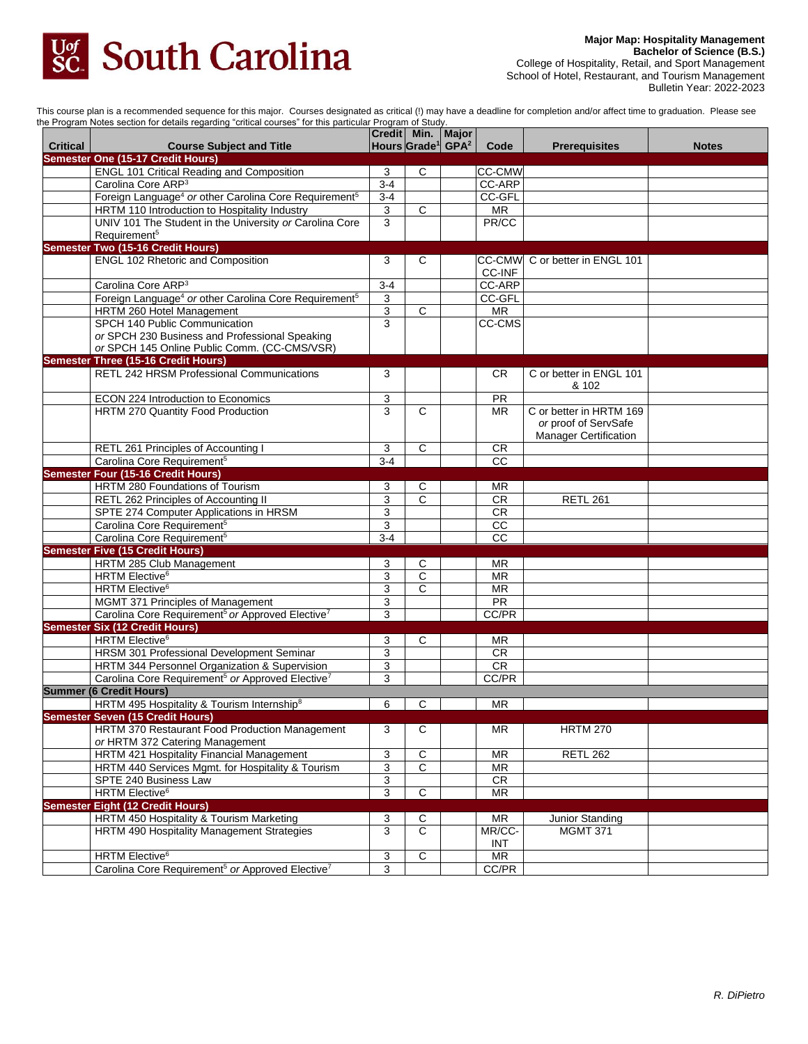

College of Hospitality, Retail, and Sport Management School of Hotel, Restaurant, and Tourism Management Bulletin Year: 2022-2023

This course plan is a recommended sequence for this major. Courses designated as critical (!) may have a deadline for completion and/or affect time to graduation. Please see the Program Notes section for details regarding "critical courses" for this particular Program of Study.

| <b>Critical</b> | <b>Course Subject and Title</b>                                               | Credit Min. |              | Major<br>Hours Grade <sup>1</sup> GPA <sup>2</sup> | Code                   | <b>Prerequisites</b>           | <b>Notes</b> |
|-----------------|-------------------------------------------------------------------------------|-------------|--------------|----------------------------------------------------|------------------------|--------------------------------|--------------|
|                 | <b>Semester One (15-17 Credit Hours)</b>                                      |             |              |                                                    |                        |                                |              |
|                 | <b>ENGL 101 Critical Reading and Composition</b>                              | 3           | C            |                                                    | <b>CC-CMW</b>          |                                |              |
|                 | Carolina Core ARP <sup>3</sup>                                                | $3 - 4$     |              |                                                    | CC-ARP                 |                                |              |
|                 | Foreign Language <sup>4</sup> or other Carolina Core Requirement <sup>5</sup> | $3-4$       |              |                                                    | CC-GFL                 |                                |              |
|                 | HRTM 110 Introduction to Hospitality Industry                                 | 3           | $\mathsf{C}$ |                                                    | <b>MR</b>              |                                |              |
|                 | UNIV 101 The Student in the University or Carolina Core                       | 3           |              |                                                    | PR/CC                  |                                |              |
|                 | Requirement <sup>5</sup>                                                      |             |              |                                                    |                        |                                |              |
|                 | <b>Semester Two (15-16 Credit Hours)</b>                                      |             |              |                                                    |                        |                                |              |
|                 | <b>ENGL 102 Rhetoric and Composition</b>                                      | 3           | C            |                                                    |                        | CC-CMW C or better in ENGL 101 |              |
|                 |                                                                               |             |              |                                                    | CC-INF                 |                                |              |
|                 | Carolina Core ARP <sup>3</sup>                                                | $3-4$       |              |                                                    | <b>CC-ARP</b>          |                                |              |
|                 | Foreign Language <sup>4</sup> or other Carolina Core Requirement <sup>5</sup> | 3           |              |                                                    | CC-GFL                 |                                |              |
|                 | HRTM 260 Hotel Management                                                     | 3           | $\mathsf{C}$ |                                                    | <b>MR</b>              |                                |              |
|                 | SPCH 140 Public Communication                                                 | 3           |              |                                                    | CC-CMS                 |                                |              |
|                 | or SPCH 230 Business and Professional Speaking                                |             |              |                                                    |                        |                                |              |
|                 | or SPCH 145 Online Public Comm. (CC-CMS/VSR)                                  |             |              |                                                    |                        |                                |              |
|                 | <b>Semester Three (15-16 Credit Hours)</b>                                    |             |              |                                                    |                        |                                |              |
|                 | RETL 242 HRSM Professional Communications                                     | 3           |              |                                                    | CR.                    | C or better in ENGL 101        |              |
|                 |                                                                               |             |              |                                                    |                        | & 102                          |              |
|                 | ECON 224 Introduction to Economics                                            | 3           |              |                                                    | <b>PR</b>              |                                |              |
|                 | HRTM 270 Quantity Food Production                                             | 3           | С            |                                                    | <b>MR</b>              | C or better in HRTM 169        |              |
|                 |                                                                               |             |              |                                                    |                        | or proof of ServSafe           |              |
|                 |                                                                               |             |              |                                                    |                        | <b>Manager Certification</b>   |              |
|                 | RETL 261 Principles of Accounting I                                           | 3           | C            |                                                    | <b>CR</b>              |                                |              |
|                 | Carolina Core Requirement <sup>5</sup>                                        | $3 - 4$     |              |                                                    | $\overline{cc}$        |                                |              |
|                 | <b>Semester Four (15-16 Credit Hours)</b>                                     |             |              |                                                    |                        |                                |              |
|                 | HRTM 280 Foundations of Tourism                                               | 3           | C            |                                                    | ΜR                     |                                |              |
|                 | RETL 262 Principles of Accounting II                                          | 3           | C            |                                                    | CR                     | <b>RETL 261</b>                |              |
|                 | SPTE 274 Computer Applications in HRSM                                        | 3           |              |                                                    | CR                     |                                |              |
|                 | Carolina Core Requirement <sup>5</sup>                                        | 3           |              |                                                    | CC                     |                                |              |
|                 | Carolina Core Requirement <sup>5</sup>                                        | $3 - 4$     |              |                                                    | CC                     |                                |              |
|                 | <b>Semester Five (15 Credit Hours)</b>                                        |             |              |                                                    |                        |                                |              |
|                 | HRTM 285 Club Management                                                      | 3           | С            |                                                    | ΜR                     |                                |              |
|                 | <b>HRTM Elective</b> <sup>6</sup>                                             | 3           | $\mathsf{C}$ |                                                    | MR                     |                                |              |
|                 | HRTM Elective <sup>6</sup>                                                    | 3           | C            |                                                    | <b>MR</b>              |                                |              |
|                 | MGMT 371 Principles of Management                                             | 3           |              |                                                    | $\overline{PR}$        |                                |              |
|                 | Carolina Core Requirement <sup>5</sup> or Approved Elective <sup>7</sup>      | 3           |              |                                                    | CC/PR                  |                                |              |
|                 | <b>Semester Six (12 Credit Hours)</b>                                         |             |              |                                                    |                        |                                |              |
|                 | HRTM Elective <sup>6</sup>                                                    | 3           | С            |                                                    | <b>MR</b>              |                                |              |
|                 | HRSM 301 Professional Development Seminar                                     | 3           |              |                                                    | CR                     |                                |              |
|                 | HRTM 344 Personnel Organization & Supervision                                 | 3           |              |                                                    | <b>CR</b>              |                                |              |
|                 | Carolina Core Requirement <sup>5</sup> or Approved Elective <sup>7</sup>      | 3           |              |                                                    | CC/PR                  |                                |              |
|                 | <b>Summer (6 Credit Hours)</b>                                                |             |              |                                                    |                        |                                |              |
|                 | HRTM 495 Hospitality & Tourism Internship <sup>8</sup>                        | 6           | С            |                                                    | <b>MR</b>              |                                |              |
|                 | <b>Semester Seven (15 Credit Hours)</b>                                       |             |              |                                                    |                        |                                |              |
|                 | HRTM 370 Restaurant Food Production Management                                | 3           | С            |                                                    | <b>MR</b>              | <b>HRTM 270</b>                |              |
|                 | or HRTM 372 Catering Management                                               |             |              |                                                    |                        |                                |              |
|                 | HRTM 421 Hospitality Financial Management                                     | 3           | C            |                                                    | <b>MR</b>              | <b>RETL 262</b>                |              |
|                 | HRTM 440 Services Mgmt. for Hospitality & Tourism                             | 3           | C            |                                                    | <b>MR</b>              |                                |              |
|                 | SPTE 240 Business Law                                                         | 3           |              |                                                    | CR                     |                                |              |
|                 | HRTM Elective <sup>6</sup>                                                    | 3           | C            |                                                    | <b>MR</b>              |                                |              |
|                 | <b>Semester Eight (12 Credit Hours)</b>                                       |             |              |                                                    |                        |                                |              |
|                 | HRTM 450 Hospitality & Tourism Marketing                                      | 3           | С            |                                                    | <b>MR</b>              | Junior Standing                |              |
|                 | HRTM 490 Hospitality Management Strategies                                    | 3           | $\mathbf C$  |                                                    | MR/CC-                 | <b>MGMT 371</b>                |              |
|                 |                                                                               |             |              |                                                    | INT                    |                                |              |
|                 | HRTM Elective <sup>6</sup>                                                    | 3           | С            |                                                    | $\overline{\text{MR}}$ |                                |              |
|                 | Carolina Core Requirement <sup>5</sup> or Approved Elective <sup>7</sup>      | 3           |              |                                                    | CC/PR                  |                                |              |